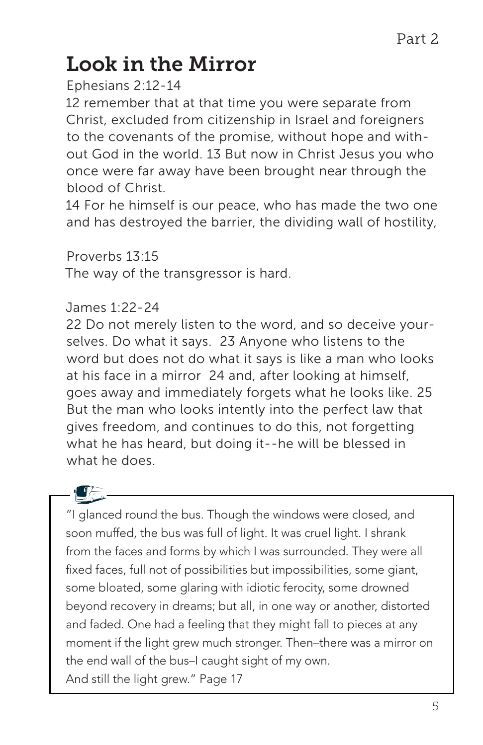## Look in the Mirror

Ephesians 2:12-14

12 remember that at that time you were separate from Christ, excluded from citizenship in Israel and foreigners to the covenants of the promise, without hope and without God in the world. 13 But now in Christ Jesus you who once were far away have been brought near through the blood of Christ.

14 For he himself is our peace, who has made the two one and has destroyed the barrier, the dividing wall of hostility,

Proverbs 13:15

The way of the transgressor is hard.

## James 1:22-24

22 Do not merely listen to the word, and so deceive yourselves. Do what it says. 23 Anyone who listens to the word but does not do what it says is like a man who looks at his face in a mirror 24 and, after looking at himself, goes away and immediately forgets what he looks like. 25 But the man who looks intently into the perfect law that gives freedom, and continues to do this, not forgetting what he has heard, but doing it--he will be blessed in what he does.



"I glanced round the bus. Though the windows were closed, and soon muffed, the bus was full of light. It was cruel light. I shrank from the faces and forms by which I was surrounded. They were all fixed faces, full not of possibilities but impossibilities, some giant, some bloated, some glaring with idiotic ferocity, some drowned beyond recovery in dreams; but all, in one way or another, distorted and faded. One had a feeling that they might fall to pieces at any moment if the light grew much stronger. Then–there was a mirror on the end wall of the bus–I caught sight of my own. And still the light grew." Page 17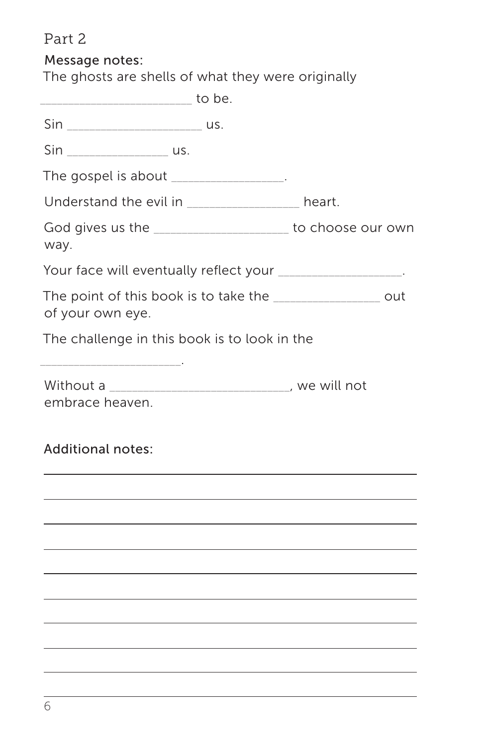Part 2

Message notes:

The ghosts are shells of what they were originally

| _____________________ to be.                                                    |  |
|---------------------------------------------------------------------------------|--|
|                                                                                 |  |
| Sin ____________________________ us.                                            |  |
| The gospel is about _________________.                                          |  |
| Understand the evil in __________________ heart.                                |  |
| God gives us the ______________________ to choose our own<br>way.               |  |
| Your face will eventually reflect your __________________.                      |  |
| The point of this book is to take the _________________ out<br>of your own eye. |  |
| The challenge in this book is to look in the                                    |  |
| Without a _________________________________, we will not<br>embrace heaven.     |  |
| <b>Additional notes:</b>                                                        |  |
|                                                                                 |  |
|                                                                                 |  |
|                                                                                 |  |
|                                                                                 |  |
|                                                                                 |  |
|                                                                                 |  |
|                                                                                 |  |
|                                                                                 |  |